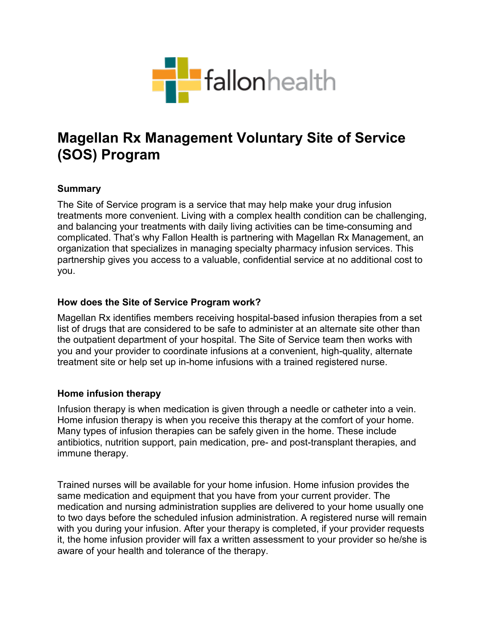

# **Magellan Rx Management Voluntary Site of Service (SOS) Program**

## **Summary**

The Site of Service program is a service that may help make your drug infusion treatments more convenient. Living with a complex health condition can be challenging, and balancing your treatments with daily living activities can be time-consuming and complicated. That's why Fallon Health is partnering with Magellan Rx Management, an organization that specializes in managing specialty pharmacy infusion services. This partnership gives you access to a valuable, confidential service at no additional cost to you.

#### **How does the Site of Service Program work?**

Magellan Rx identifies members receiving hospital-based infusion therapies from a set list of drugs that are considered to be safe to administer at an alternate site other than the outpatient department of your hospital. The Site of Service team then works with you and your provider to coordinate infusions at a convenient, high-quality, alternate treatment site or help set up in-home infusions with a trained registered nurse.

## **Home infusion therapy**

Infusion therapy is when medication is given through a needle or catheter into a vein. Home infusion therapy is when you receive this therapy at the comfort of your home. Many types of infusion therapies can be safely given in the home. These include antibiotics, nutrition support, pain medication, pre- and post-transplant therapies, and immune therapy.

Trained nurses will be available for your home infusion. Home infusion provides the same medication and equipment that you have from your current provider. The medication and nursing administration supplies are delivered to your home usually one to two days before the scheduled infusion administration. A registered nurse will remain with you during your infusion. After your therapy is completed, if your provider requests it, the home infusion provider will fax a written assessment to your provider so he/she is aware of your health and tolerance of the therapy.